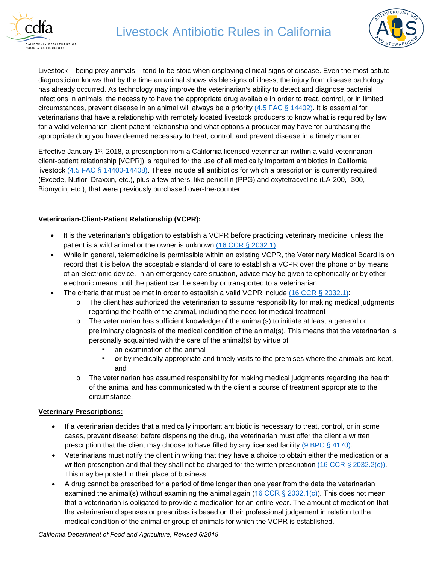



Livestock – being prey animals – tend to be stoic when displaying clinical signs of disease. Even the most astute diagnostician knows that by the time an animal shows visible signs of illness, the injury from disease pathology has already occurred. As technology may improve the veterinarian's ability to detect and diagnose bacterial infections in animals, the necessity to have the appropriate drug available in order to treat, control, or in limited circumstances, prevent disease in an animal will always be a priority  $(4.5 \text{ FAC} \S 14402)$ . It is essential for veterinarians that have a relationship with remotely located livestock producers to know what is required by law for a valid veterinarian-client-patient relationship and what options a producer may have for purchasing the appropriate drug you have deemed necessary to treat, control, and prevent disease in a timely manner.

Effective January 1st, 2018, a prescription from a California licensed veterinarian (within a valid veterinarianclient-patient relationship [VCPR]) is required for the use of all medically important antibiotics in California [livestock \(4.5 FAC § 14400](http://leginfo.legislature.ca.gov/faces/codes_displayText.xhtml?lawCode=FAC&division=7.&title=&part=&chapter=4.5.&article)-14408). These include all antibiotics for which a prescription is currently required (Excede, Nuflor, Draxxin, etc.), plus a few others, like penicillin (PPG) and oxytetracycline (LA-200, -300, Biomycin, etc.), that were previously purchased over-the-counter.

## **Veterinarian-Client-Patient Relationship (VCPR):**

- It is the veterinarian's obligation to establish a VCPR before practicing veterinary medicine, unless the patient is a wild animal or the owner is unknown [\(16 CCR § 2032.1\).](https://govt.westlaw.com/calregs/Document/I634D42502EDB11E39C87E838B6ADC7D8?originationContext=document&transitionType=StatuteNavigator&needToInjectTerms=False&viewType=FullText&contextData=(sc.Default))
- While in general, telemedicine is permissible within an existing VCPR, the Veterinary Medical Board is on record that it is below the acceptable standard of care to establish a VCPR over the phone or by means of an electronic device. In an emergency care situation, advice may be given telephonically or by other electronic means until the patient can be seen by or transported to a veterinarian.
- The criteria that must be met in order to establish a valid VCPR include  $(16 \text{ CCR } \S$  2032.1):
	- o The client has authorized the veterinarian to assume responsibility for making medical judgments regarding the health of the animal, including the need for medical treatment
	- o The veterinarian has sufficient knowledge of the animal(s) to initiate at least a general or preliminary diagnosis of the medical condition of the animal(s). This means that the veterinarian is personally acquainted with the care of the animal(s) by virtue of
		- an examination of the animal
		- **or** by medically appropriate and timely visits to the premises where the animals are kept, and
	- $\circ$  The veterinarian has assumed responsibility for making medical judgments regarding the health of the animal and has communicated with the client a course of treatment appropriate to the circumstance.

## **Veterinary Prescriptions:**

- If a veterinarian decides that a medically important antibiotic is necessary to treat, control, or in some cases, prevent disease: before dispensing the drug, the veterinarian must offer the client a written prescription that the client may choose to have filled by [any licensed facility](http://leginfo.legislature.ca.gov/faces/codes_displaySection.xhtml?lawCode=BPC§ionNum=4170.) (9 BPC § 4170).
- Veterinarians must notify the client in writing that they have a choice to obtain either the medication or a written prescription and that they shall not be charged for the written prescription  $(16 \text{ CCR } \S 2032.2(c))$ . This may be posted in their place of business.
- A drug cannot be prescribed for a period of time longer than one year from the date the veterinarian examined the animal(s) without examining the animal again ([16 CCR § 2032.1\(c\)\)](https://govt.westlaw.com/calregs/Document/I634D42502EDB11E39C87E838B6ADC7D8?originationContext=document&transitionType=StatuteNavigator&needToInjectTerms=False&viewType=FullText&contextData=(sc.Default)). This does not mean that a veterinarian is obligated to provide a medication for an entire year. The amount of medication that the veterinarian dispenses or prescribes is based on their professional judgement in relation to the medical condition of the animal or group of animals for which the VCPR is established.